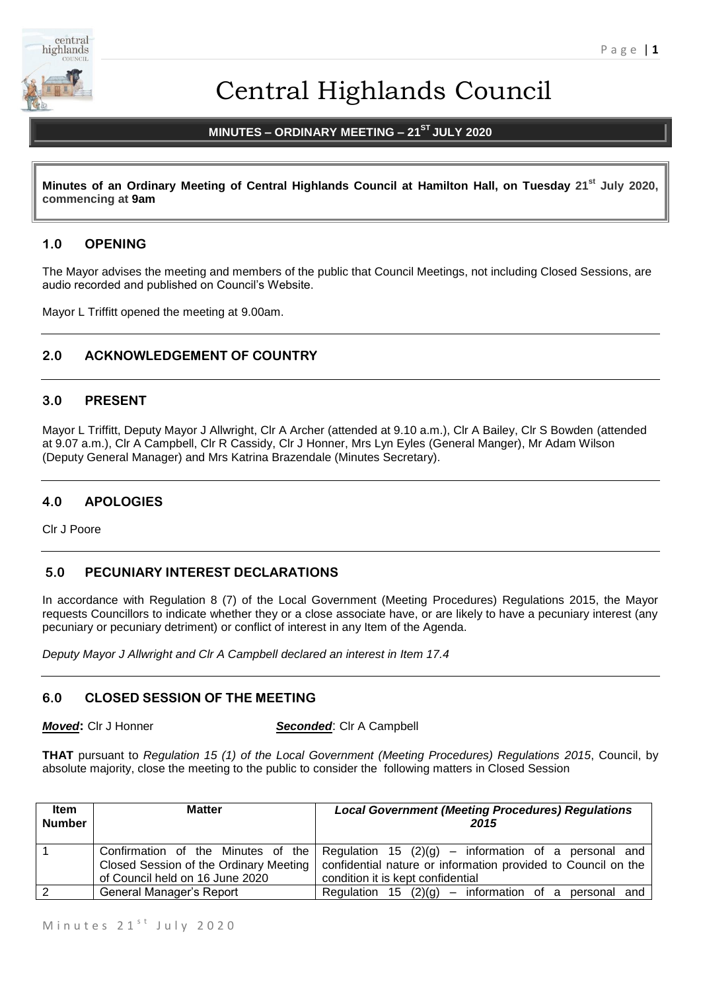

# Central Highlands Council

# **MINUTES – ORDINARY MEETING – 21ST JULY 2020**

**Minutes of an Ordinary Meeting of Central Highlands Council at Hamilton Hall, on Tuesday 21st July 2020, commencing at 9am**

## **1.0 OPENING**

The Mayor advises the meeting and members of the public that Council Meetings, not including Closed Sessions, are audio recorded and published on Council's Website.

Mayor L Triffitt opened the meeting at 9.00am.

# **2.0 ACKNOWLEDGEMENT OF COUNTRY**

## **3.0 PRESENT**

Mayor L Triffitt, Deputy Mayor J Allwright, Clr A Archer (attended at 9.10 a.m.), Clr A Bailey, Clr S Bowden (attended at 9.07 a.m.), Clr A Campbell, Clr R Cassidy, Clr J Honner, Mrs Lyn Eyles (General Manger), Mr Adam Wilson (Deputy General Manager) and Mrs Katrina Brazendale (Minutes Secretary).

# **4.0 APOLOGIES**

Clr J Poore

### **5.0 PECUNIARY INTEREST DECLARATIONS**

In accordance with Regulation 8 (7) of the Local Government (Meeting Procedures) Regulations 2015, the Mayor requests Councillors to indicate whether they or a close associate have, or are likely to have a pecuniary interest (any pecuniary or pecuniary detriment) or conflict of interest in any Item of the Agenda.

*Deputy Mayor J Allwright and Clr A Campbell declared an interest in Item 17.4*

#### **6.0 CLOSED SESSION OF THE MEETING**

*Moved***:** Clr J Honner *Seconded*: Clr A Campbell

**THAT** pursuant to *Regulation 15 (1) of the Local Government (Meeting Procedures) Regulations 2015*, Council, by absolute majority, close the meeting to the public to consider the following matters in Closed Session

| Item<br><b>Number</b> | <b>Matter</b>                          | <b>Local Government (Meeting Procedures) Regulations</b><br>2015                        |
|-----------------------|----------------------------------------|-----------------------------------------------------------------------------------------|
|                       |                                        | Confirmation of the Minutes of the Regulation 15 (2)(g) – information of a personal and |
|                       | Closed Session of the Ordinary Meeting | confidential nature or information provided to Council on the                           |
|                       | of Council held on 16 June 2020        | condition it is kept confidential                                                       |
| $\overline{2}$        | General Manager's Report               | Regulation 15 $(2)(g)$ – information of a personal and                                  |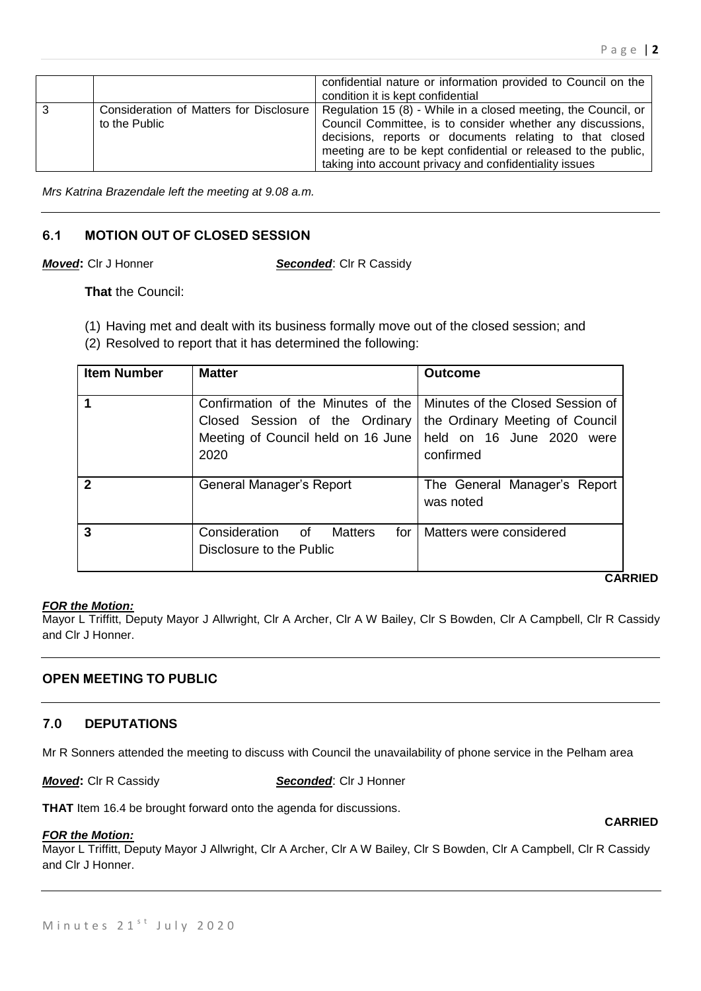|   |                                                          | confidential nature or information provided to Council on the<br>condition it is kept confidential                                                                                                                                                                                                                  |
|---|----------------------------------------------------------|---------------------------------------------------------------------------------------------------------------------------------------------------------------------------------------------------------------------------------------------------------------------------------------------------------------------|
| 3 | Consideration of Matters for Disclosure<br>to the Public | Regulation 15 (8) - While in a closed meeting, the Council, or<br>Council Committee, is to consider whether any discussions,<br>decisions, reports or documents relating to that closed<br>meeting are to be kept confidential or released to the public,<br>taking into account privacy and confidentiality issues |

*Mrs Katrina Brazendale left the meeting at 9.08 a.m.*

# **6.1 MOTION OUT OF CLOSED SESSION**

*Moved***:** Clr J Honner *Seconded*: Clr R Cassidy

**That** the Council:

(1) Having met and dealt with its business formally move out of the closed session; and

(2) Resolved to report that it has determined the following:

| <b>Item Number</b> | <b>Matter</b>                                                                                                      | <b>Outcome</b>                                                                                                |  |
|--------------------|--------------------------------------------------------------------------------------------------------------------|---------------------------------------------------------------------------------------------------------------|--|
|                    | Confirmation of the Minutes of the<br>Closed Session of the Ordinary<br>Meeting of Council held on 16 June<br>2020 | Minutes of the Closed Session of<br>the Ordinary Meeting of Council<br>held on 16 June 2020 were<br>confirmed |  |
| 2                  | General Manager's Report                                                                                           | The General Manager's Report<br>was noted                                                                     |  |
| 3                  | Consideration of<br><b>Matters</b><br>for<br>Disclosure to the Public                                              | Matters were considered                                                                                       |  |

**CARRIED**

**CARRIED**

#### *FOR the Motion:*

Mayor L Triffitt, Deputy Mayor J Allwright, Clr A Archer, Clr A W Bailey, Clr S Bowden, Clr A Campbell, Clr R Cassidy and Clr J Honner.

# **OPEN MEETING TO PUBLIC**

# **7.0 DEPUTATIONS**

Mr R Sonners attended the meeting to discuss with Council the unavailability of phone service in the Pelham area

*Moved***:** Clr R Cassidy *Seconded*: Clr J Honner

**THAT** Item 16.4 be brought forward onto the agenda for discussions.

#### *FOR the Motion:*

Mayor L Triffitt, Deputy Mayor J Allwright, Clr A Archer, Clr A W Bailey, Clr S Bowden, Clr A Campbell, Clr R Cassidy and Clr J Honner.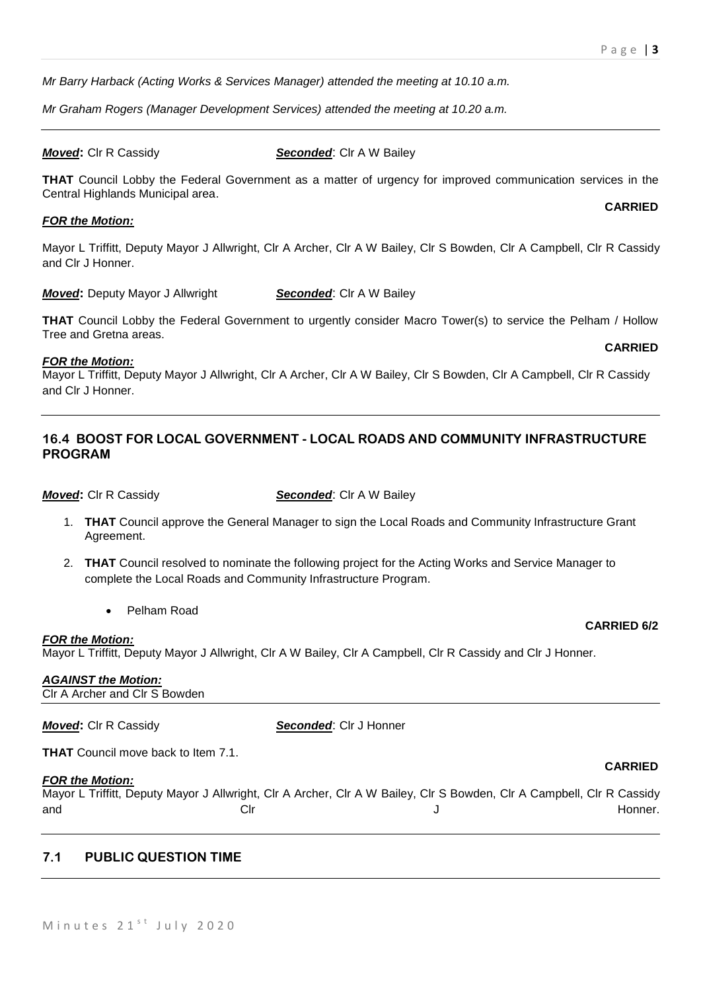*Mr Barry Harback (Acting Works & Services Manager) attended the meeting at 10.10 a.m.*

*Mr Graham Rogers (Manager Development Services) attended the meeting at 10.20 a.m.*

#### *Moved***:** Clr R Cassidy **Seconded:** Clr A W Bailey

**THAT** Council Lobby the Federal Government as a matter of urgency for improved communication services in the Central Highlands Municipal area.

#### *FOR the Motion:*

Mayor L Triffitt, Deputy Mayor J Allwright, Clr A Archer, Clr A W Bailey, Clr S Bowden, Clr A Campbell, Clr R Cassidy and Clr J Honner.

*Moved:* Deputy Mayor J Allwright **Seconded:** Clr A W Bailey

**THAT** Council Lobby the Federal Government to urgently consider Macro Tower(s) to service the Pelham / Hollow Tree and Gretna areas.

#### *FOR the Motion:*

Mayor L Triffitt, Deputy Mayor J Allwright, Clr A Archer, Clr A W Bailey, Clr S Bowden, Clr A Campbell, Clr R Cassidy and Clr J Honner.

## **16.4 BOOST FOR LOCAL GOVERNMENT - LOCAL ROADS AND COMMUNITY INFRASTRUCTURE PROGRAM**

**Moved:** Clr R Cassidy **Seconded:** Clr A W Bailey

- 1. **THAT** Council approve the General Manager to sign the Local Roads and Community Infrastructure Grant Agreement.
- 2. **THAT** Council resolved to nominate the following project for the Acting Works and Service Manager to complete the Local Roads and Community Infrastructure Program.
	- Pelham Road

#### *FOR the Motion:*

Mayor L Triffitt, Deputy Mayor J Allwright, Clr A W Bailey, Clr A Campbell, Clr R Cassidy and Clr J Honner.

# *AGAINST the Motion:*

Clr A Archer and Clr S Bowden

| <b>Moved:</b> CIr R Cassidy                | <b>Seconded: CIr J Honner</b>                                                                                         |         |
|--------------------------------------------|-----------------------------------------------------------------------------------------------------------------------|---------|
| <b>THAT</b> Council move back to Item 7.1. |                                                                                                                       |         |
| <b>FOR the Motion:</b>                     | <b>CARRIED</b>                                                                                                        |         |
|                                            | Mayor L Triffitt, Deputy Mayor J Allwright, Clr A Archer, Clr A W Bailey, Clr S Bowden, Clr A Campbell, Clr R Cassidy |         |
| and<br>Clr                                 |                                                                                                                       | Honner. |
|                                            |                                                                                                                       |         |

# **7.1 PUBLIC QUESTION TIME**

#### **CARRIED**

**CARRIED**

**CARRIED 6/2**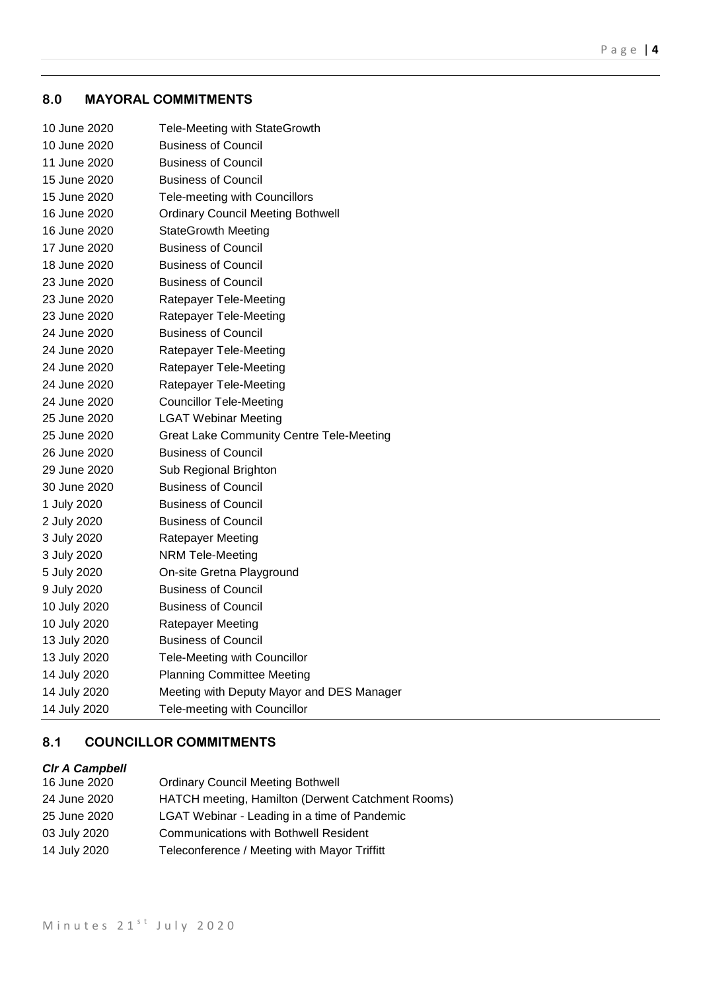# **8.0 MAYORAL COMMITMENTS**

| 10 June 2020 | Tele-Meeting with StateGrowth                   |
|--------------|-------------------------------------------------|
| 10 June 2020 | <b>Business of Council</b>                      |
| 11 June 2020 | <b>Business of Council</b>                      |
| 15 June 2020 | <b>Business of Council</b>                      |
| 15 June 2020 | Tele-meeting with Councillors                   |
| 16 June 2020 | <b>Ordinary Council Meeting Bothwell</b>        |
| 16 June 2020 | <b>StateGrowth Meeting</b>                      |
| 17 June 2020 | <b>Business of Council</b>                      |
| 18 June 2020 | <b>Business of Council</b>                      |
| 23 June 2020 | <b>Business of Council</b>                      |
| 23 June 2020 | Ratepayer Tele-Meeting                          |
| 23 June 2020 | Ratepayer Tele-Meeting                          |
| 24 June 2020 | <b>Business of Council</b>                      |
| 24 June 2020 | Ratepayer Tele-Meeting                          |
| 24 June 2020 | Ratepayer Tele-Meeting                          |
| 24 June 2020 | Ratepayer Tele-Meeting                          |
| 24 June 2020 | <b>Councillor Tele-Meeting</b>                  |
| 25 June 2020 | <b>LGAT Webinar Meeting</b>                     |
| 25 June 2020 | <b>Great Lake Community Centre Tele-Meeting</b> |
| 26 June 2020 | <b>Business of Council</b>                      |
| 29 June 2020 | Sub Regional Brighton                           |
| 30 June 2020 | <b>Business of Council</b>                      |
| 1 July 2020  | <b>Business of Council</b>                      |
| 2 July 2020  | <b>Business of Council</b>                      |
| 3 July 2020  | Ratepayer Meeting                               |
| 3 July 2020  | <b>NRM Tele-Meeting</b>                         |
| 5 July 2020  | On-site Gretna Playground                       |
| 9 July 2020  | <b>Business of Council</b>                      |
| 10 July 2020 | <b>Business of Council</b>                      |
| 10 July 2020 | Ratepayer Meeting                               |
| 13 July 2020 | <b>Business of Council</b>                      |
| 13 July 2020 | Tele-Meeting with Councillor                    |
| 14 July 2020 | <b>Planning Committee Meeting</b>               |
| 14 July 2020 | Meeting with Deputy Mayor and DES Manager       |
| 14 July 2020 | Tele-meeting with Councillor                    |
|              |                                                 |

# **8.1 COUNCILLOR COMMITMENTS**

# *Clr A Campbell*

| 16 June 2020 | <b>Ordinary Council Meeting Bothwell</b>          |
|--------------|---------------------------------------------------|
| 24 June 2020 | HATCH meeting, Hamilton (Derwent Catchment Rooms) |
| 25 June 2020 | LGAT Webinar - Leading in a time of Pandemic      |
| 03 July 2020 | <b>Communications with Bothwell Resident</b>      |
| 14 July 2020 | Teleconference / Meeting with Mayor Triffitt      |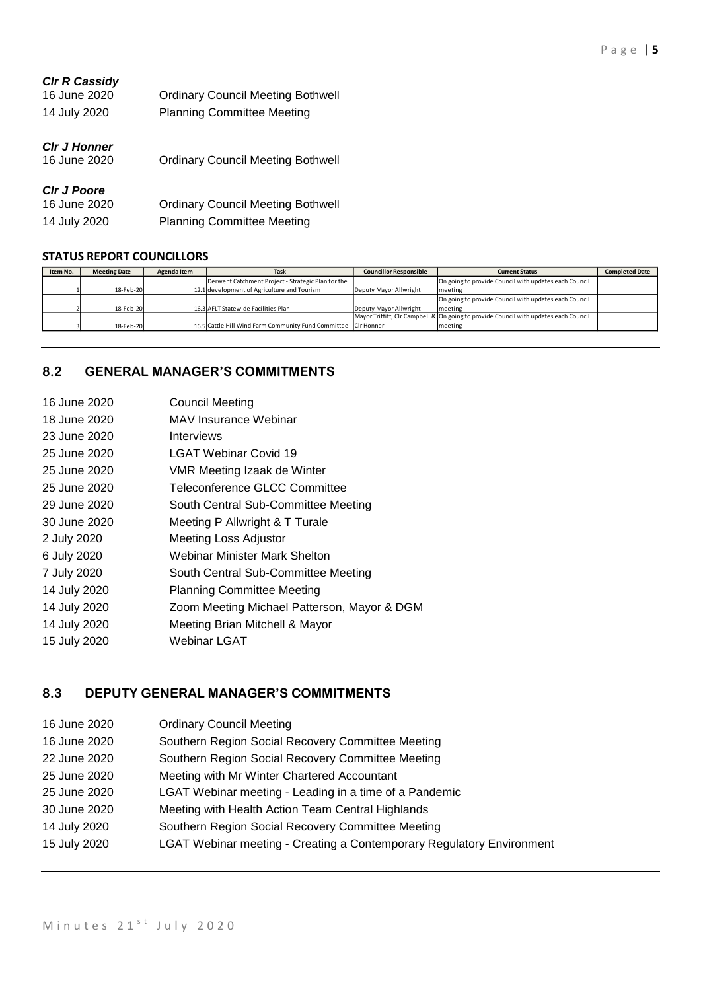| <b>CIr R Cassidy</b><br>16 June 2020<br>14 July 2020 | <b>Ordinary Council Meeting Bothwell</b><br><b>Planning Committee Meeting</b> |
|------------------------------------------------------|-------------------------------------------------------------------------------|
| <b>CIr J Honner</b><br>16 June 2020                  | <b>Ordinary Council Meeting Bothwell</b>                                      |
| <b>CIr J Poore</b><br>16 June 2020                   | <b>Ordinary Council Meeting Bothwell</b>                                      |

14 July 2020 Planning Committee Meeting

# **STATUS REPORT COUNCILLORS**

| Item No. | <b>Meeting Date</b> | <b>Task</b><br>Agenda Item |                                                                | <b>Councillor Responsible</b> | <b>Current Status</b>                                                                | <b>Completed Date</b> |
|----------|---------------------|----------------------------|----------------------------------------------------------------|-------------------------------|--------------------------------------------------------------------------------------|-----------------------|
|          |                     |                            | Derwent Catchment Project - Strategic Plan for the             |                               | On going to provide Council with updates each Council                                |                       |
|          | 18-Feb-20           |                            | 12.1 development of Agriculture and Tourism                    | Deputy Mayor Allwright        | meeting                                                                              |                       |
|          |                     |                            |                                                                |                               | On going to provide Council with updates each Council                                |                       |
|          | 18-Feb-20           |                            | 16.3 AFLT Statewide Facilities Plan                            | Deputy Mayor Allwright        | meeting                                                                              |                       |
|          |                     |                            |                                                                |                               | Mayor Triffitt, CIr Campbell & On going to provide Council with updates each Council |                       |
|          | 18-Feb-20           |                            | 16.5 Cattle Hill Wind Farm Community Fund Committee CIr Honner |                               | meeting                                                                              |                       |

# **8.2 GENERAL MANAGER'S COMMITMENTS**

| 16 June 2020 | <b>Council Meeting</b>                      |
|--------------|---------------------------------------------|
| 18 June 2020 | MAV Insurance Webinar                       |
| 23 June 2020 | Interviews                                  |
| 25 June 2020 | <b>LGAT Webinar Covid 19</b>                |
| 25 June 2020 | VMR Meeting Izaak de Winter                 |
| 25 June 2020 | Teleconference GLCC Committee               |
| 29 June 2020 | South Central Sub-Committee Meeting         |
| 30 June 2020 | Meeting P Allwright & T Turale              |
| 2 July 2020  | Meeting Loss Adjustor                       |
| 6 July 2020  | Webinar Minister Mark Shelton               |
| 7 July 2020  | South Central Sub-Committee Meeting         |
| 14 July 2020 | <b>Planning Committee Meeting</b>           |
| 14 July 2020 | Zoom Meeting Michael Patterson, Mayor & DGM |
| 14 July 2020 | Meeting Brian Mitchell & Mayor              |
| 15 July 2020 | Webinar LGAT                                |
|              |                                             |

# **8.3 DEPUTY GENERAL MANAGER'S COMMITMENTS**

| 16 June 2020 | <b>Ordinary Council Meeting</b>                                       |
|--------------|-----------------------------------------------------------------------|
| 16 June 2020 | Southern Region Social Recovery Committee Meeting                     |
| 22 June 2020 | Southern Region Social Recovery Committee Meeting                     |
| 25 June 2020 | Meeting with Mr Winter Chartered Accountant                           |
| 25 June 2020 | LGAT Webinar meeting - Leading in a time of a Pandemic                |
| 30 June 2020 | Meeting with Health Action Team Central Highlands                     |
| 14 July 2020 | Southern Region Social Recovery Committee Meeting                     |
| 15 July 2020 | LGAT Webinar meeting - Creating a Contemporary Regulatory Environment |
|              |                                                                       |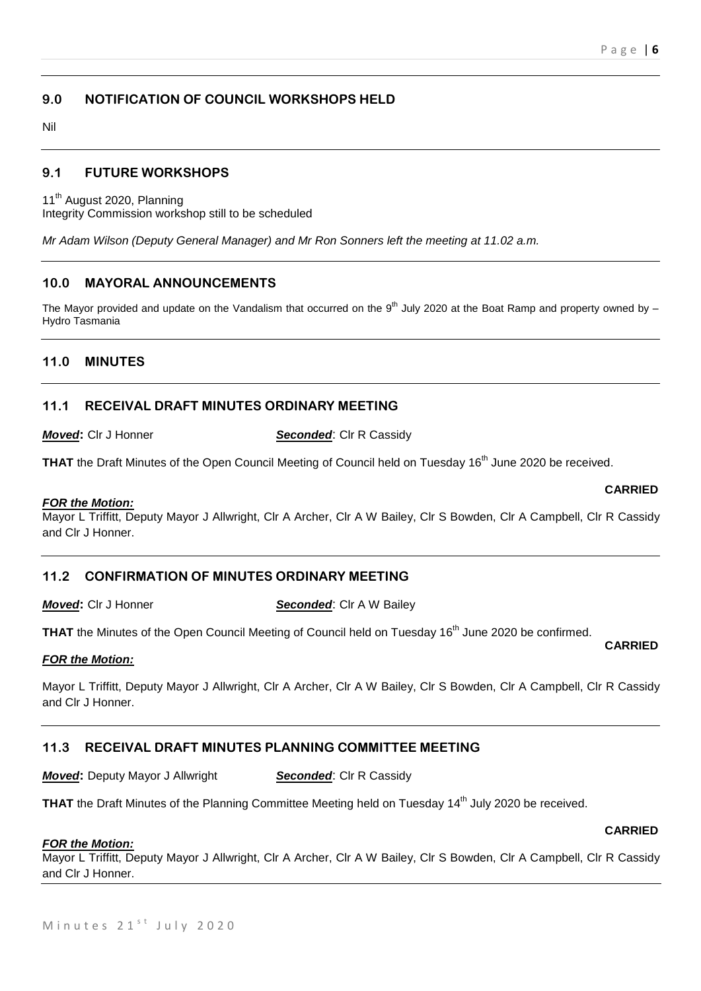# **9.0 NOTIFICATION OF COUNCIL WORKSHOPS HELD**

Nil

## **9.1 FUTURE WORKSHOPS**

11<sup>th</sup> August 2020, Planning

Integrity Commission workshop still to be scheduled

*Mr Adam Wilson (Deputy General Manager) and Mr Ron Sonners left the meeting at 11.02 a.m.*

# **10.0 MAYORAL ANNOUNCEMENTS**

The Mayor provided and update on the Vandalism that occurred on the 9<sup>th</sup> July 2020 at the Boat Ramp and property owned by  $-$ Hydro Tasmania

## **11.0 MINUTES**

## **11.1 RECEIVAL DRAFT MINUTES ORDINARY MEETING**

*Moved***:** Cir J Honner **Seconded:** Cir R Cassidy

**THAT** the Draft Minutes of the Open Council Meeting of Council held on Tuesday 16<sup>th</sup> June 2020 be received.

#### *FOR the Motion:*

Mayor L Triffitt, Deputy Mayor J Allwright, Clr A Archer, Clr A W Bailey, Clr S Bowden, Clr A Campbell, Clr R Cassidy and Clr J Honner.

# **11.2 CONFIRMATION OF MINUTES ORDINARY MEETING**

*Moved***:** Clr J Honner **Seconded:** Clr A W Bailey

THAT the Minutes of the Open Council Meeting of Council held on Tuesday 16<sup>th</sup> June 2020 be confirmed.

#### *FOR the Motion:*

Mayor L Triffitt, Deputy Mayor J Allwright, Clr A Archer, Clr A W Bailey, Clr S Bowden, Clr A Campbell, Clr R Cassidy and Clr J Honner.

#### **11.3 RECEIVAL DRAFT MINUTES PLANNING COMMITTEE MEETING**

*Moved:* Deputy Mayor J Allwright **Seconded:** Clr R Cassidy

**THAT** the Draft Minutes of the Planning Committee Meeting held on Tuesday 14<sup>th</sup> July 2020 be received.

#### *FOR the Motion:*

Mayor L Triffitt, Deputy Mayor J Allwright, Clr A Archer, Clr A W Bailey, Clr S Bowden, Clr A Campbell, Clr R Cassidy and Clr J Honner.

#### **CARRIED**

#### **CARRIED**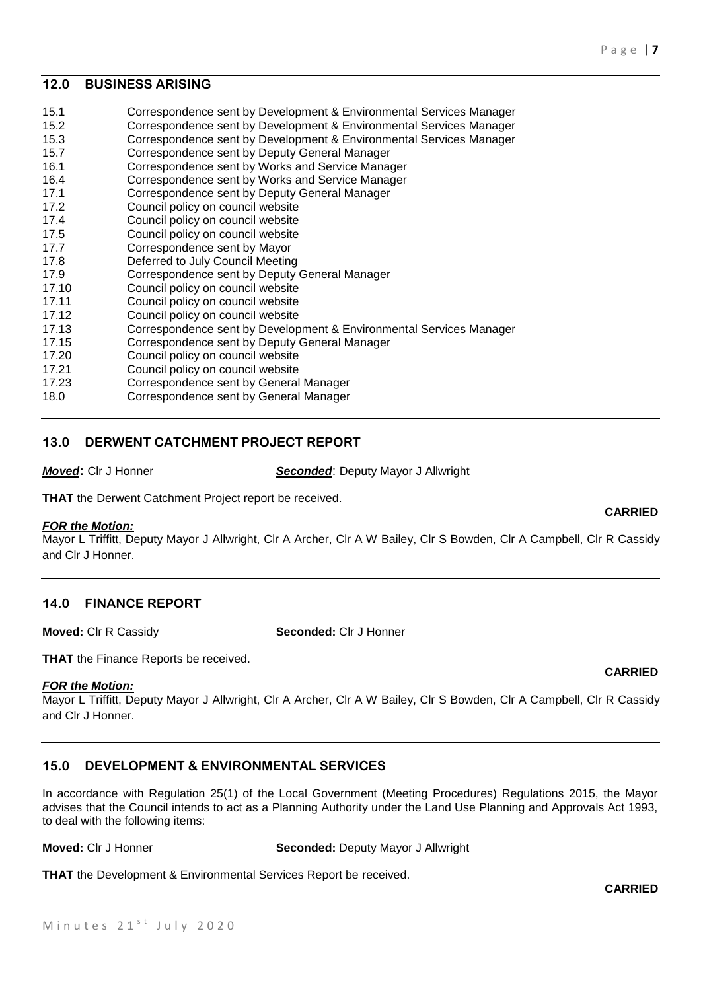#### **12.0 BUSINESS ARISING**

| 15.1  | Correspondence sent by Development & Environmental Services Manager |
|-------|---------------------------------------------------------------------|
| 15.2  | Correspondence sent by Development & Environmental Services Manager |
| 15.3  | Correspondence sent by Development & Environmental Services Manager |
| 15.7  | Correspondence sent by Deputy General Manager                       |
| 16.1  | Correspondence sent by Works and Service Manager                    |
| 16.4  | Correspondence sent by Works and Service Manager                    |
| 17.1  | Correspondence sent by Deputy General Manager                       |
| 17.2  | Council policy on council website                                   |
| 17.4  | Council policy on council website                                   |
| 17.5  | Council policy on council website                                   |
| 17.7  | Correspondence sent by Mayor                                        |
| 17.8  | Deferred to July Council Meeting                                    |
| 17.9  | Correspondence sent by Deputy General Manager                       |
| 17.10 | Council policy on council website                                   |
| 17.11 | Council policy on council website                                   |
| 17.12 | Council policy on council website                                   |
| 17.13 | Correspondence sent by Development & Environmental Services Manager |
| 17.15 | Correspondence sent by Deputy General Manager                       |
| 17.20 | Council policy on council website                                   |
| 17.21 | Council policy on council website                                   |
| 17.23 | Correspondence sent by General Manager                              |
| 18.0  | Correspondence sent by General Manager                              |
|       |                                                                     |

# **13.0 DERWENT CATCHMENT PROJECT REPORT**

*Moved***:** Clr J Honner *Seconded*: Deputy Mayor J Allwright

**THAT** the Derwent Catchment Project report be received.

#### *FOR the Motion:*

Mayor L Triffitt, Deputy Mayor J Allwright, Clr A Archer, Clr A W Bailey, Clr S Bowden, Clr A Campbell, Clr R Cassidy and Clr J Honner.

#### **14.0 FINANCE REPORT**

**Moved:** Clr R Cassidy **Seconded:** Clr J Honner

**THAT** the Finance Reports be received.

#### *FOR the Motion:*

Mayor L Triffitt, Deputy Mayor J Allwright, Clr A Archer, Clr A W Bailey, Clr S Bowden, Clr A Campbell, Clr R Cassidy and Clr J Honner.

# **15.0 DEVELOPMENT & ENVIRONMENTAL SERVICES**

In accordance with Regulation 25(1) of the Local Government (Meeting Procedures) Regulations 2015, the Mayor advises that the Council intends to act as a Planning Authority under the Land Use Planning and Approvals Act 1993, to deal with the following items:

**Moved:** Clr J Honner **Seconded:** Deputy Mayor J Allwright

**THAT** the Development & Environmental Services Report be received.

**CARRIED**

**CARRIED**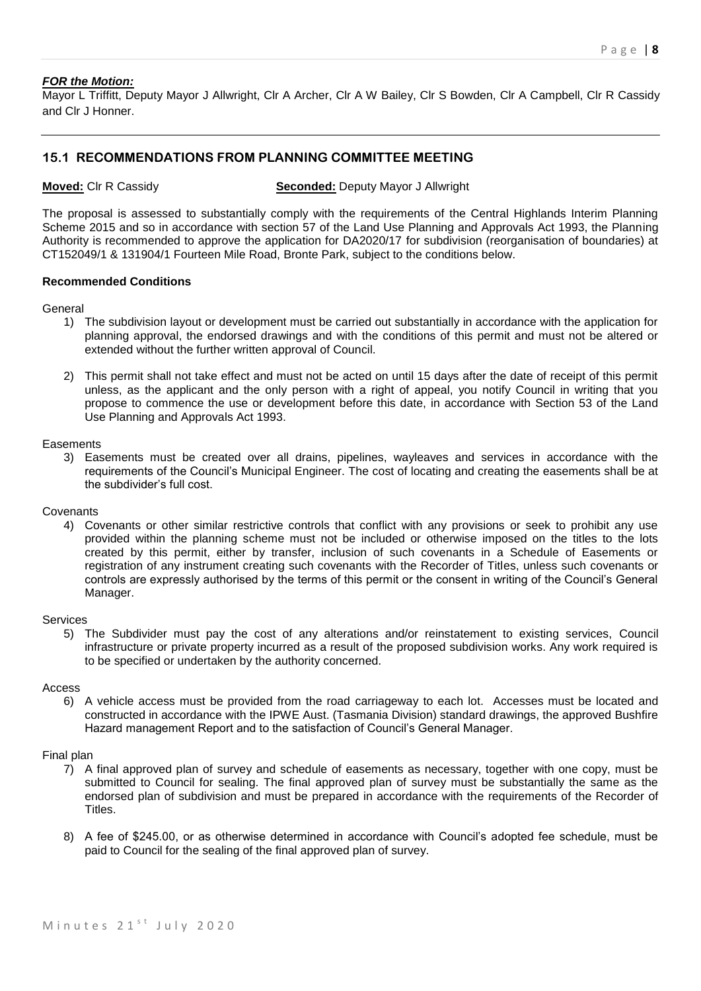#### *FOR the Motion:*

Mayor L Triffitt, Deputy Mayor J Allwright, Clr A Archer, Clr A W Bailey, Clr S Bowden, Clr A Campbell, Clr R Cassidy and Clr J Honner.

# **15.1 RECOMMENDATIONS FROM PLANNING COMMITTEE MEETING**

**Moved:** Clr R Cassidy **Seconded:** Deputy Mayor J Allwright

The proposal is assessed to substantially comply with the requirements of the Central Highlands Interim Planning Scheme 2015 and so in accordance with section 57 of the Land Use Planning and Approvals Act 1993, the Planning Authority is recommended to approve the application for DA2020/17 for subdivision (reorganisation of boundaries) at CT152049/1 & 131904/1 Fourteen Mile Road, Bronte Park, subject to the conditions below.

#### **Recommended Conditions**

General

- 1) The subdivision layout or development must be carried out substantially in accordance with the application for planning approval, the endorsed drawings and with the conditions of this permit and must not be altered or extended without the further written approval of Council.
- 2) This permit shall not take effect and must not be acted on until 15 days after the date of receipt of this permit unless, as the applicant and the only person with a right of appeal, you notify Council in writing that you propose to commence the use or development before this date, in accordance with Section 53 of the Land Use Planning and Approvals Act 1993.

#### **Easements**

3) Easements must be created over all drains, pipelines, wayleaves and services in accordance with the requirements of the Council's Municipal Engineer. The cost of locating and creating the easements shall be at the subdivider's full cost.

#### **Covenants**

4) Covenants or other similar restrictive controls that conflict with any provisions or seek to prohibit any use provided within the planning scheme must not be included or otherwise imposed on the titles to the lots created by this permit, either by transfer, inclusion of such covenants in a Schedule of Easements or registration of any instrument creating such covenants with the Recorder of Titles, unless such covenants or controls are expressly authorised by the terms of this permit or the consent in writing of the Council's General Manager.

#### Services

5) The Subdivider must pay the cost of any alterations and/or reinstatement to existing services, Council infrastructure or private property incurred as a result of the proposed subdivision works. Any work required is to be specified or undertaken by the authority concerned.

#### Access

6) A vehicle access must be provided from the road carriageway to each lot. Accesses must be located and constructed in accordance with the IPWE Aust. (Tasmania Division) standard drawings, the approved Bushfire Hazard management Report and to the satisfaction of Council's General Manager.

#### Final plan

- 7) A final approved plan of survey and schedule of easements as necessary, together with one copy, must be submitted to Council for sealing. The final approved plan of survey must be substantially the same as the endorsed plan of subdivision and must be prepared in accordance with the requirements of the Recorder of Titles.
- 8) A fee of \$245.00, or as otherwise determined in accordance with Council's adopted fee schedule, must be paid to Council for the sealing of the final approved plan of survey.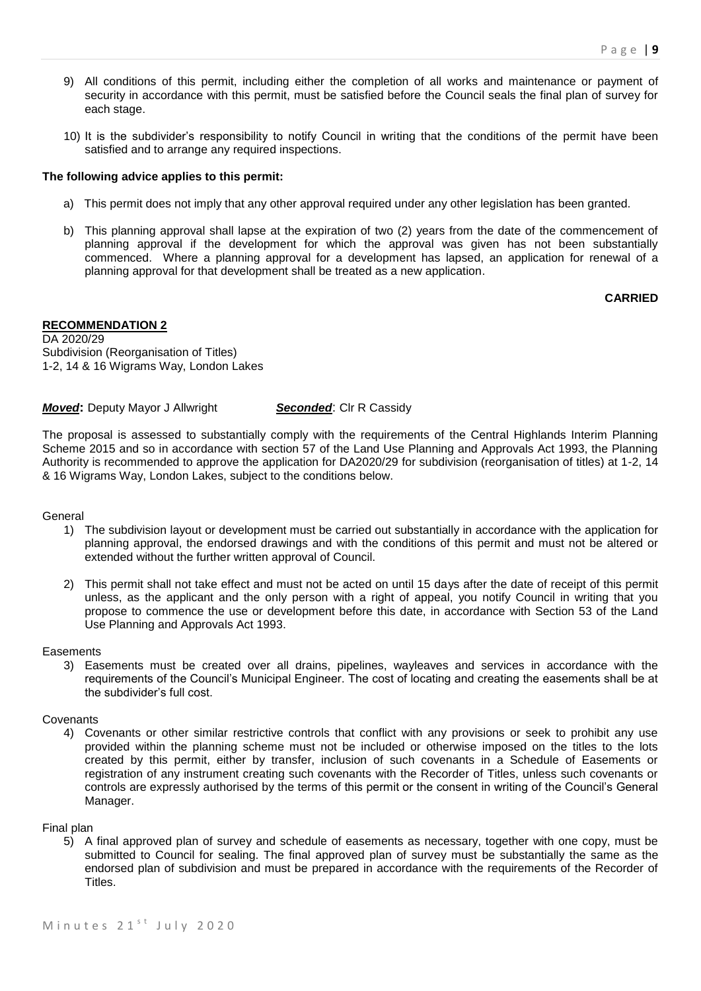- 9) All conditions of this permit, including either the completion of all works and maintenance or payment of security in accordance with this permit, must be satisfied before the Council seals the final plan of survey for each stage.
- 10) It is the subdivider's responsibility to notify Council in writing that the conditions of the permit have been satisfied and to arrange any required inspections.

#### **The following advice applies to this permit:**

- a) This permit does not imply that any other approval required under any other legislation has been granted.
- b) This planning approval shall lapse at the expiration of two (2) years from the date of the commencement of planning approval if the development for which the approval was given has not been substantially commenced. Where a planning approval for a development has lapsed, an application for renewal of a planning approval for that development shall be treated as a new application.

#### **CARRIED**

#### **RECOMMENDATION 2**

DA 2020/29 Subdivision (Reorganisation of Titles) 1-2, 14 & 16 Wigrams Way, London Lakes

#### *Moved:* Deputy Mayor J Allwright **Seconded:** Clr R Cassidy

The proposal is assessed to substantially comply with the requirements of the Central Highlands Interim Planning Scheme 2015 and so in accordance with section 57 of the Land Use Planning and Approvals Act 1993, the Planning Authority is recommended to approve the application for DA2020/29 for subdivision (reorganisation of titles) at 1-2, 14 & 16 Wigrams Way, London Lakes, subject to the conditions below.

General

- 1) The subdivision layout or development must be carried out substantially in accordance with the application for planning approval, the endorsed drawings and with the conditions of this permit and must not be altered or extended without the further written approval of Council.
- 2) This permit shall not take effect and must not be acted on until 15 days after the date of receipt of this permit unless, as the applicant and the only person with a right of appeal, you notify Council in writing that you propose to commence the use or development before this date, in accordance with Section 53 of the Land Use Planning and Approvals Act 1993.

#### **Easements**

3) Easements must be created over all drains, pipelines, wayleaves and services in accordance with the requirements of the Council's Municipal Engineer. The cost of locating and creating the easements shall be at the subdivider's full cost.

#### **Covenants**

4) Covenants or other similar restrictive controls that conflict with any provisions or seek to prohibit any use provided within the planning scheme must not be included or otherwise imposed on the titles to the lots created by this permit, either by transfer, inclusion of such covenants in a Schedule of Easements or registration of any instrument creating such covenants with the Recorder of Titles, unless such covenants or controls are expressly authorised by the terms of this permit or the consent in writing of the Council's General Manager.

#### Final plan

5) A final approved plan of survey and schedule of easements as necessary, together with one copy, must be submitted to Council for sealing. The final approved plan of survey must be substantially the same as the endorsed plan of subdivision and must be prepared in accordance with the requirements of the Recorder of Titles.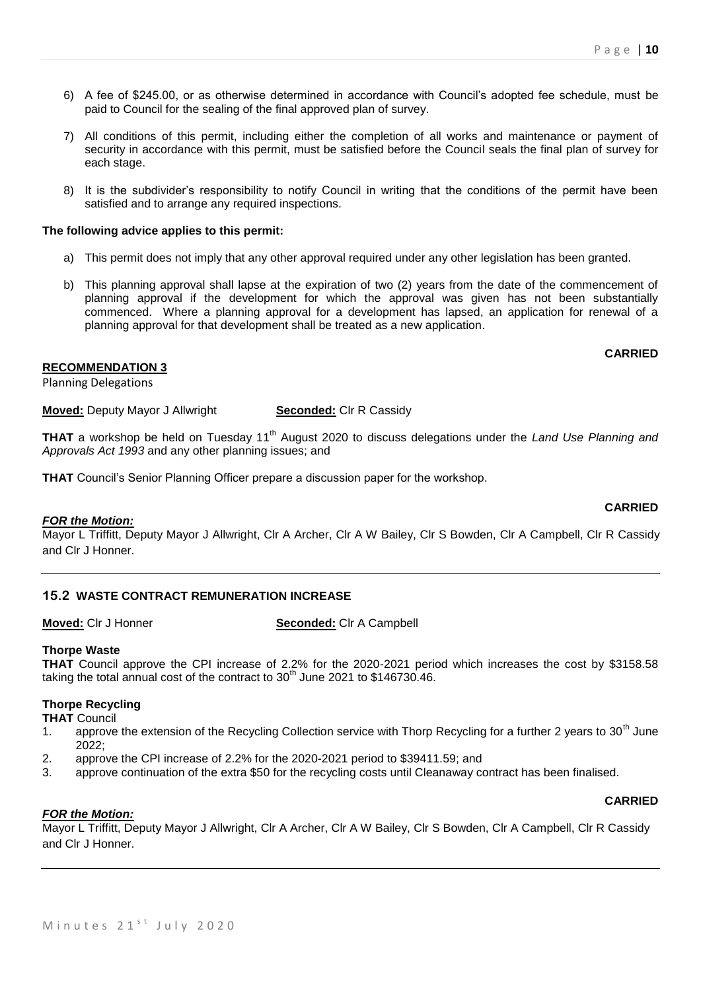- 6) A fee of \$245.00, or as otherwise determined in accordance with Council's adopted fee schedule, must be paid to Council for the sealing of the final approved plan of survey.
- 7) All conditions of this permit, including either the completion of all works and maintenance or payment of security in accordance with this permit, must be satisfied before the Council seals the final plan of survey for each stage.
- 8) It is the subdivider's responsibility to notify Council in writing that the conditions of the permit have been satisfied and to arrange any required inspections.

#### **The following advice applies to this permit:**

- a) This permit does not imply that any other approval required under any other legislation has been granted.
- b) This planning approval shall lapse at the expiration of two (2) years from the date of the commencement of planning approval if the development for which the approval was given has not been substantially commenced. Where a planning approval for a development has lapsed, an application for renewal of a planning approval for that development shall be treated as a new application.

#### **CARRIED**

# **RECOMMENDATION 3**

Planning Delegations

**Moved:** Deputy Mayor J Allwright **Seconded:** Clr R Cassidy

**THAT** a workshop be held on Tuesday 11<sup>th</sup> August 2020 to discuss delegations under the *Land Use Planning and Approvals Act 1993* and any other planning issues; and

**THAT** Council's Senior Planning Officer prepare a discussion paper for the workshop.

#### **CARRIED**

*FOR the Motion:*

Mayor L Triffitt, Deputy Mayor J Allwright, Clr A Archer, Clr A W Bailey, Clr S Bowden, Clr A Campbell, Clr R Cassidy and Clr J Honner.

#### **15.2 WASTE CONTRACT REMUNERATION INCREASE**

**Moved:** Clr J Honner **Seconded:** Clr A Campbell

#### **Thorpe Waste**

**THAT** Council approve the CPI increase of 2.2% for the 2020-2021 period which increases the cost by \$3158.58 taking the total annual cost of the contract to  $30<sup>th</sup>$  June 2021 to \$146730.46.

#### **Thorpe Recycling**

- **THAT** Council
- 1. approve the extension of the Recycling Collection service with Thorp Recycling for a further 2 years to 30<sup>th</sup> June  $2022$
- 2. approve the CPI increase of 2.2% for the 2020-2021 period to \$39411.59; and
- 3. approve continuation of the extra \$50 for the recycling costs until Cleanaway contract has been finalised.

#### **CARRIED**

#### *FOR the Motion:*

Mayor L Triffitt, Deputy Mayor J Allwright, Clr A Archer, Clr A W Bailey, Clr S Bowden, Clr A Campbell, Clr R Cassidy and Clr J Honner.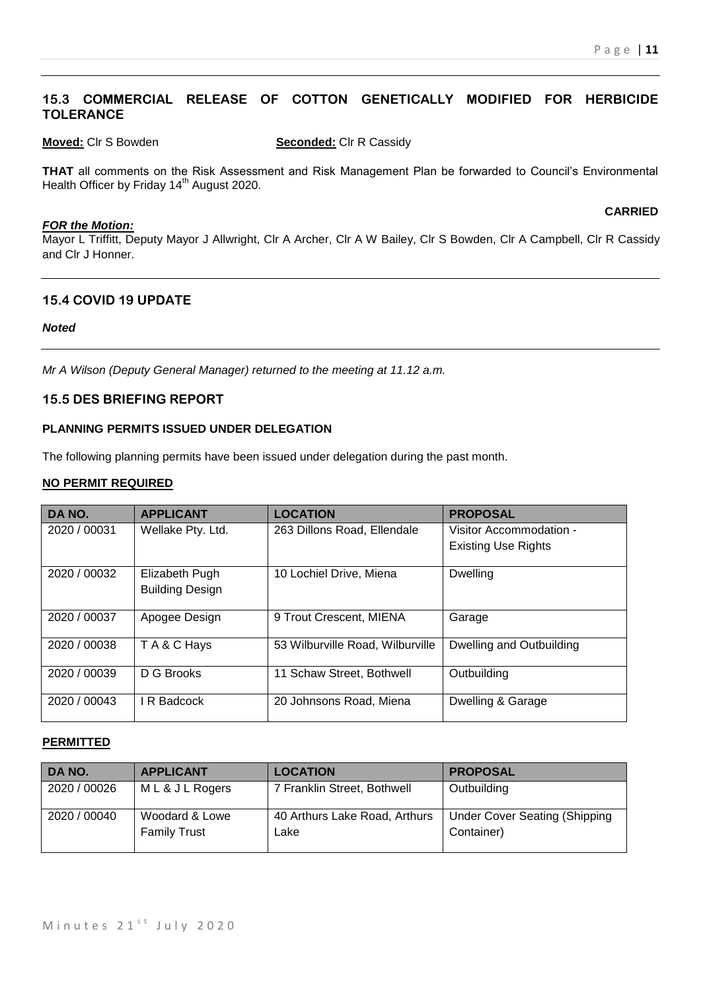# **15.3 COMMERCIAL RELEASE OF COTTON GENETICALLY MODIFIED FOR HERBICIDE TOLERANCE**

**Moved:** Clr S Bowden **Seconded:** Clr R Cassidy

**THAT** all comments on the Risk Assessment and Risk Management Plan be forwarded to Council's Environmental Health Officer by Friday 14<sup>th</sup> August 2020.

#### *FOR the Motion:*

**CARRIED**

Mayor L Triffitt, Deputy Mayor J Allwright, Clr A Archer, Clr A W Bailey, Clr S Bowden, Clr A Campbell, Clr R Cassidy and Clr J Honner.

# **15.4 COVID 19 UPDATE**

#### *Noted*

*Mr A Wilson (Deputy General Manager) returned to the meeting at 11.12 a.m.*

## **15.5 DES BRIEFING REPORT**

#### **PLANNING PERMITS ISSUED UNDER DELEGATION**

The following planning permits have been issued under delegation during the past month.

#### **NO PERMIT REQUIRED**

| DA NO.       | <b>APPLICANT</b>       | <b>LOCATION</b>                  | <b>PROPOSAL</b>            |
|--------------|------------------------|----------------------------------|----------------------------|
| 2020 / 00031 | Wellake Pty. Ltd.      | 263 Dillons Road, Ellendale      | Visitor Accommodation -    |
|              |                        |                                  | <b>Existing Use Rights</b> |
| 2020 / 00032 | Elizabeth Pugh         | 10 Lochiel Drive, Miena          | Dwelling                   |
|              | <b>Building Design</b> |                                  |                            |
| 2020 / 00037 | Apogee Design          | 9 Trout Crescent, MIENA          | Garage                     |
| 2020 / 00038 | TA&C Hays              | 53 Wilburville Road, Wilburville | Dwelling and Outbuilding   |
| 2020 / 00039 | D G Brooks             | 11 Schaw Street, Bothwell        | Outbuilding                |
| 2020 / 00043 | I R Badcock            | 20 Johnsons Road, Miena          | Dwelling & Garage          |

#### **PERMITTED**

| DA NO.       | <b>APPLICANT</b>                      | <b>LOCATION</b>                       | <b>PROPOSAL</b>                                    |
|--------------|---------------------------------------|---------------------------------------|----------------------------------------------------|
| 2020 / 00026 | ML& JL Rogers                         | 7 Franklin Street, Bothwell           | Outbuilding                                        |
| 2020 / 00040 | Woodard & Lowe<br><b>Family Trust</b> | 40 Arthurs Lake Road, Arthurs<br>Lake | <b>Under Cover Seating (Shipping</b><br>Container) |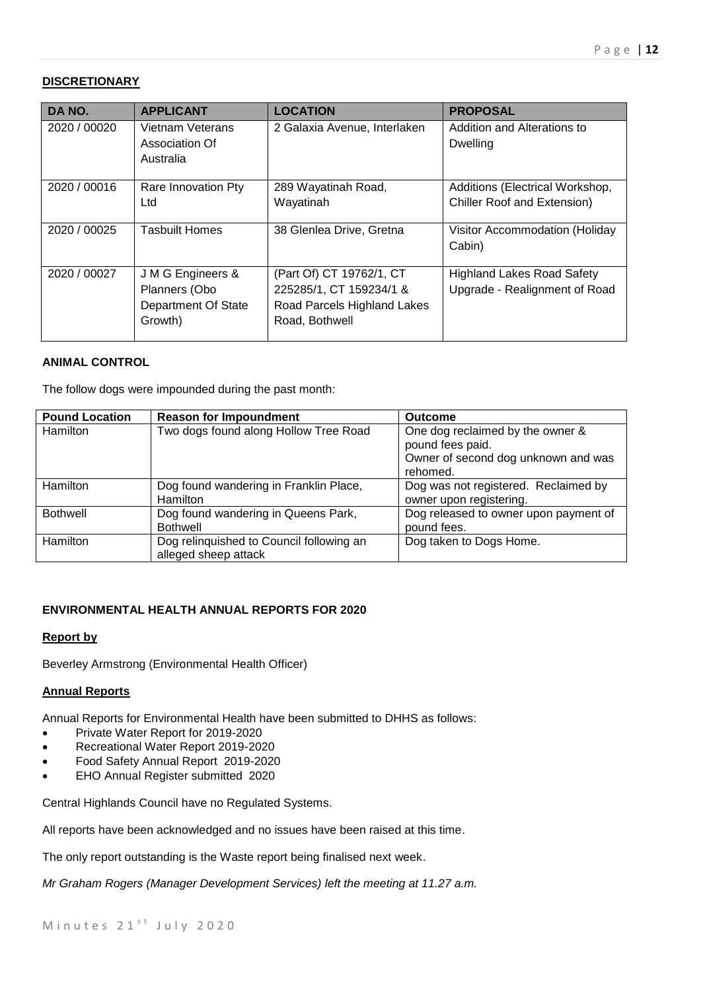#### **DISCRETIONARY**

| DA NO.       | <b>APPLICANT</b>                                                            | <b>LOCATION</b>                                                                                      | <b>PROPOSAL</b>                                                    |
|--------------|-----------------------------------------------------------------------------|------------------------------------------------------------------------------------------------------|--------------------------------------------------------------------|
| 2020 / 00020 | Vietnam Veterans<br>Association Of<br>Australia                             | 2 Galaxia Avenue, Interlaken                                                                         | Addition and Alterations to<br>Dwelling                            |
| 2020 / 00016 | Rare Innovation Pty<br>Ltd                                                  | 289 Wayatinah Road,<br>Wayatinah                                                                     | Additions (Electrical Workshop,<br>Chiller Roof and Extension)     |
| 2020 / 00025 | <b>Tasbuilt Homes</b>                                                       | 38 Glenlea Drive, Gretna                                                                             | Visitor Accommodation (Holiday<br>Cabin)                           |
| 2020 / 00027 | J M G Engineers &<br>Planners (Obo<br><b>Department Of State</b><br>Growth) | (Part Of) CT 19762/1, CT<br>225285/1, CT 159234/1 &<br>Road Parcels Highland Lakes<br>Road, Bothwell | <b>Highland Lakes Road Safety</b><br>Upgrade - Realignment of Road |

#### **ANIMAL CONTROL**

The follow dogs were impounded during the past month:

| <b>Pound Location</b> | <b>Reason for Impoundment</b>                                    | <b>Outcome</b>                                                                                          |
|-----------------------|------------------------------------------------------------------|---------------------------------------------------------------------------------------------------------|
| <b>Hamilton</b>       | Two dogs found along Hollow Tree Road                            | One dog reclaimed by the owner &<br>pound fees paid.<br>Owner of second dog unknown and was<br>rehomed. |
| <b>Hamilton</b>       | Dog found wandering in Franklin Place,<br>Hamilton               | Dog was not registered. Reclaimed by<br>owner upon registering.                                         |
| Bothwell              | Dog found wandering in Queens Park,<br><b>Bothwell</b>           | Dog released to owner upon payment of<br>pound fees.                                                    |
| <b>Hamilton</b>       | Dog relinquished to Council following an<br>alleged sheep attack | Dog taken to Dogs Home.                                                                                 |

#### **ENVIRONMENTAL HEALTH ANNUAL REPORTS FOR 2020**

#### **Report by**

Beverley Armstrong (Environmental Health Officer)

#### **Annual Reports**

Annual Reports for Environmental Health have been submitted to DHHS as follows:

- Private Water Report for 2019-2020
- Recreational Water Report 2019-2020
- Food Safety Annual Report 2019-2020
- EHO Annual Register submitted 2020

Central Highlands Council have no Regulated Systems.

All reports have been acknowledged and no issues have been raised at this time.

The only report outstanding is the Waste report being finalised next week.

*Mr Graham Rogers (Manager Development Services) left the meeting at 11.27 a.m.*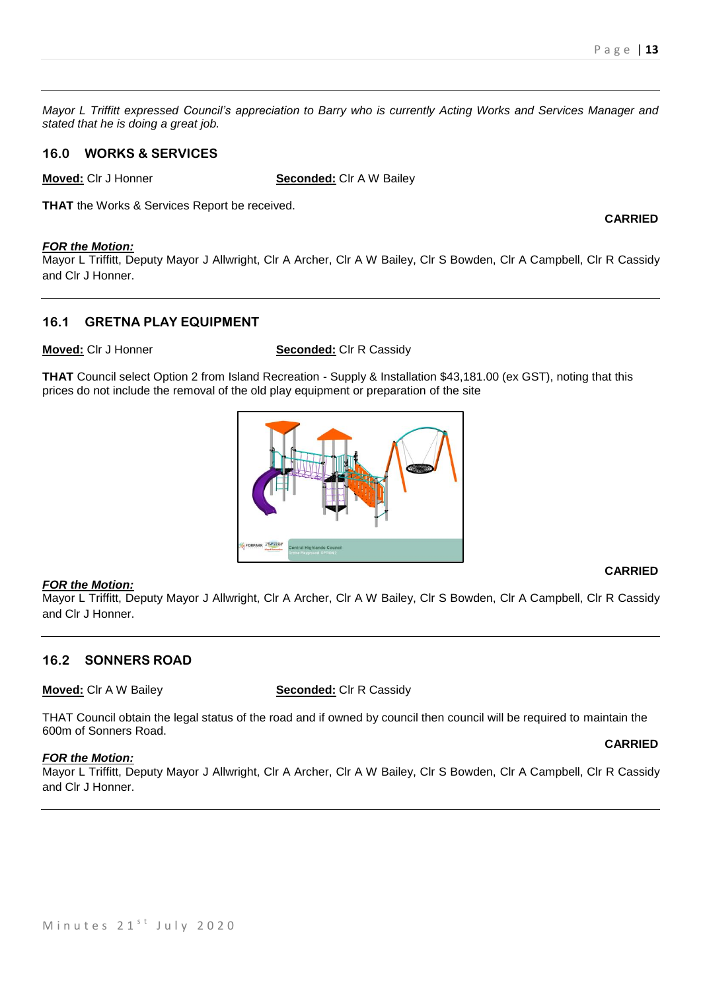*Mayor L Triffitt expressed Council's appreciation to Barry who is currently Acting Works and Services Manager and stated that he is doing a great job.*

# **16.0 WORKS & SERVICES**

**Moved:** Clr J Honner **Seconded:** Clr A W Bailey

**THAT** the Works & Services Report be received.

#### *FOR the Motion:*

Mayor L Triffitt, Deputy Mayor J Allwright, Clr A Archer, Clr A W Bailey, Clr S Bowden, Clr A Campbell, Clr R Cassidy and Clr J Honner.

# **16.1 GRETNA PLAY EQUIPMENT**

**Moved:** Clr J Honner **Seconded:** Clr R Cassidy

**THAT** Council select Option 2 from Island Recreation - Supply & Installation \$43,181.00 (ex GST), noting that this prices do not include the removal of the old play equipment or preparation of the site



#### *FOR the Motion:*

Mayor L Triffitt, Deputy Mayor J Allwright, Clr A Archer, Clr A W Bailey, Clr S Bowden, Clr A Campbell, Clr R Cassidy and Clr J Honner.

#### **16.2 SONNERS ROAD**

**Moved:** Clr A W Bailey **Seconded:** Clr R Cassidy

THAT Council obtain the legal status of the road and if owned by council then council will be required to maintain the 600m of Sonners Road.

#### *FOR the Motion:*

Mayor L Triffitt, Deputy Mayor J Allwright, Clr A Archer, Clr A W Bailey, Clr S Bowden, Clr A Campbell, Clr R Cassidy and Clr J Honner.

#### **CARRIED**

**CARRIED**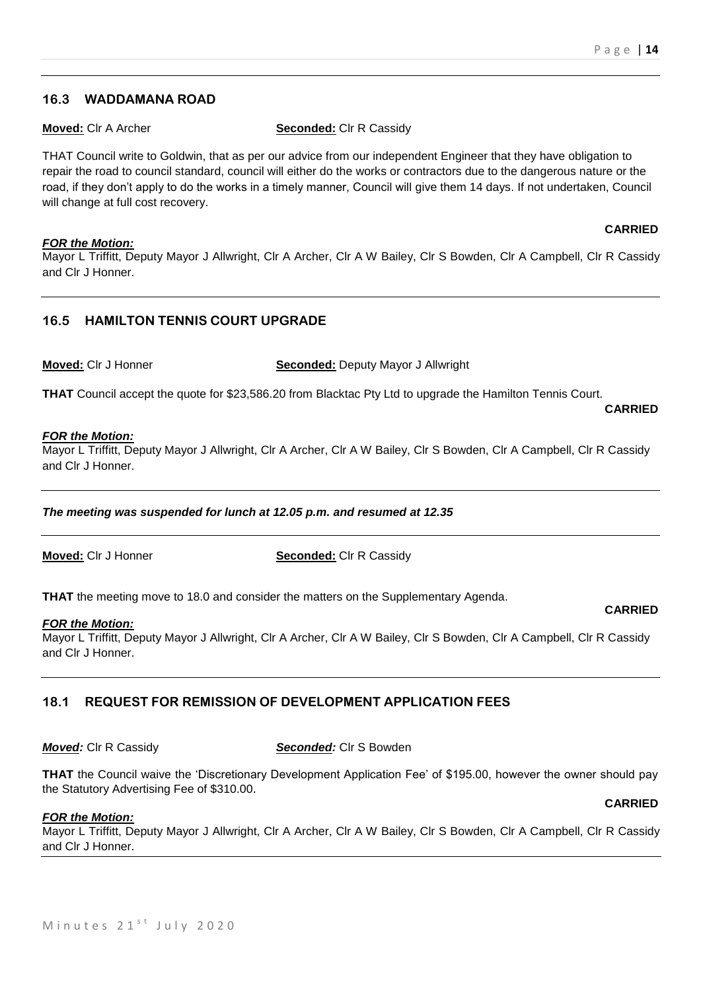**CARRIED**

**CARRIED**

#### **16.3 WADDAMANA ROAD**

**Moved:** Clr A Archer **Seconded:** Clr R Cassidy

THAT Council write to Goldwin, that as per our advice from our independent Engineer that they have obligation to repair the road to council standard, council will either do the works or contractors due to the dangerous nature or the road, if they don't apply to do the works in a timely manner, Council will give them 14 days. If not undertaken, Council will change at full cost recovery.

#### *FOR the Motion:*

Mayor L Triffitt, Deputy Mayor J Allwright, Clr A Archer, Clr A W Bailey, Clr S Bowden, Clr A Campbell, Clr R Cassidy and Clr J Honner.

# **16.5 HAMILTON TENNIS COURT UPGRADE**

**Moved:** Clr J Honner **Seconded:** Deputy Mayor J Allwright

**THAT** Council accept the quote for \$23,586.20 from Blacktac Pty Ltd to upgrade the Hamilton Tennis Court.

#### *FOR the Motion:*

Mayor L Triffitt, Deputy Mayor J Allwright, Clr A Archer, Clr A W Bailey, Clr S Bowden, Clr A Campbell, Clr R Cassidy and Clr J Honner.

*The meeting was suspended for lunch at 12.05 p.m. and resumed at 12.35*

**Moved:** Clr J Honner **Seconded:** Clr R Cassidy

**THAT** the meeting move to 18.0 and consider the matters on the Supplementary Agenda.

#### *FOR the Motion:*

Mayor L Triffitt, Deputy Mayor J Allwright, Clr A Archer, Clr A W Bailey, Clr S Bowden, Clr A Campbell, Clr R Cassidy and Clr J Honner.

# **18.1 REQUEST FOR REMISSION OF DEVELOPMENT APPLICATION FEES**

*Moved:* Clr R Cassidy *Seconded:* Clr S Bowden

**THAT** the Council waive the 'Discretionary Development Application Fee' of \$195.00, however the owner should pay the Statutory Advertising Fee of \$310.00.

#### *FOR the Motion:*

Mayor L Triffitt, Deputy Mayor J Allwright, Clr A Archer, Clr A W Bailey, Clr S Bowden, Clr A Campbell, Clr R Cassidy and Clr J Honner.

# **CARRIED**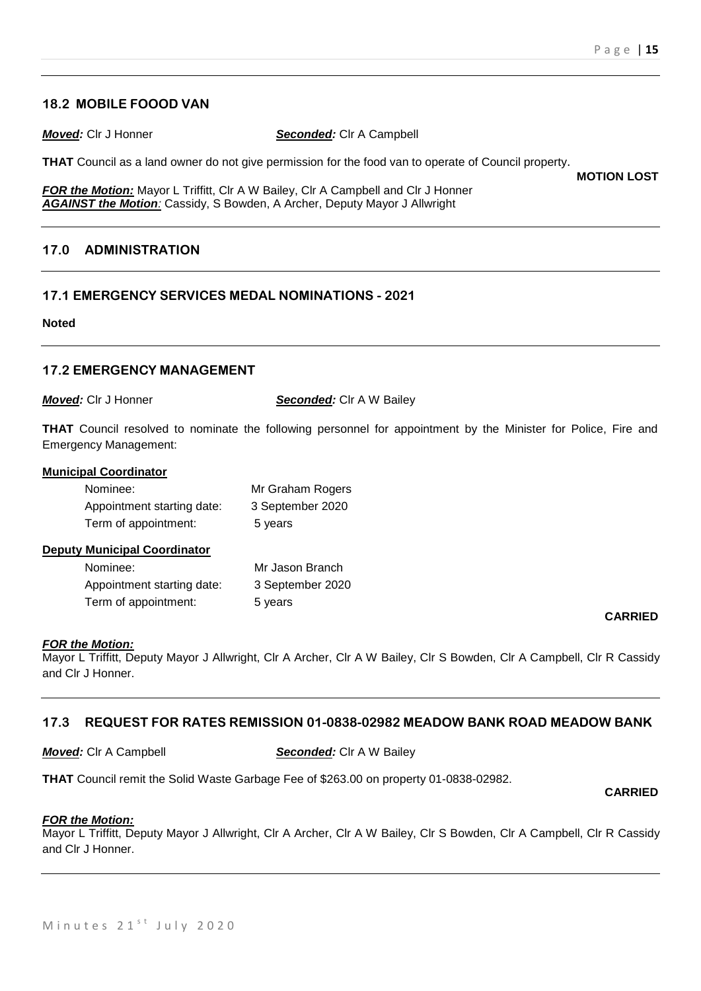## **18.2 MOBILE FOOOD VAN**

*Moved:* Clr J Honner *Seconded:* Clr A Campbell

**THAT** Council as a land owner do not give permission for the food van to operate of Council property.

*FOR the Motion:* Mayor L Triffitt, CIr A W Bailey, CIr A Campbell and CIr J Honner *AGAINST the Motion:* Cassidy, S Bowden, A Archer, Deputy Mayor J Allwright

# **17.0 ADMINISTRATION**

## **17.1 EMERGENCY SERVICES MEDAL NOMINATIONS - 2021**

#### **Noted**

## **17.2 EMERGENCY MANAGEMENT**

*Moved:* Clr J Honner *Seconded:* Clr A W Bailey

**THAT** Council resolved to nominate the following personnel for appointment by the Minister for Police, Fire and Emergency Management:

#### **Municipal Coordinator**

| Nominee:                   | Mr Graham Rogers |
|----------------------------|------------------|
| Appointment starting date: | 3 September 2020 |
| Term of appointment:       | 5 years          |

#### **Deputy Municipal Coordinator**

| Nominee:                   | Mr Jason Branch  |
|----------------------------|------------------|
| Appointment starting date: | 3 September 2020 |
| Term of appointment:       | 5 years          |

#### *FOR the Motion:*

Mayor L Triffitt, Deputy Mayor J Allwright, Clr A Archer, Clr A W Bailey, Clr S Bowden, Clr A Campbell, Clr R Cassidy and Clr J Honner.

#### **17.3 REQUEST FOR RATES REMISSION 01-0838-02982 MEADOW BANK ROAD MEADOW BANK**

#### *Moved:* Clr A Campbell *Seconded:* Clr A W Bailey

**THAT** Council remit the Solid Waste Garbage Fee of \$263.00 on property 01-0838-02982.

#### **CARRIED**

#### *FOR the Motion:*

Mayor L Triffitt, Deputy Mayor J Allwright, Clr A Archer, Clr A W Bailey, Clr S Bowden, Clr A Campbell, Clr R Cassidy and Clr J Honner.

#### **CARRIED**

**MOTION LOST**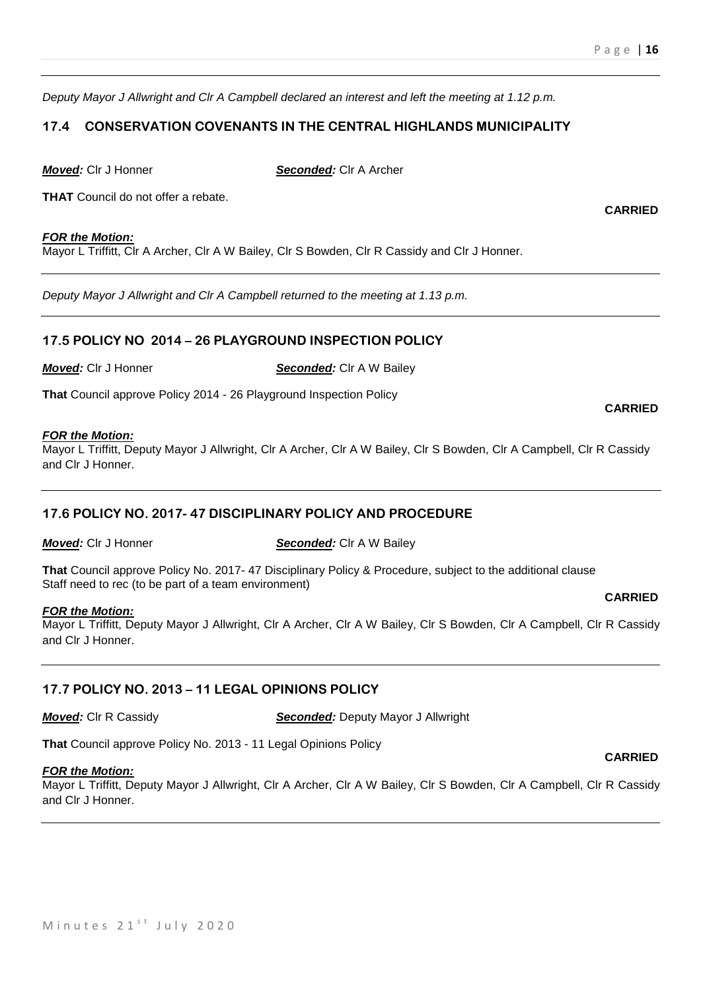**CARRIED**

*Deputy Mayor J Allwright and Clr A Campbell declared an interest and left the meeting at 1.12 p.m.* 

# **17.4 CONSERVATION COVENANTS IN THE CENTRAL HIGHLANDS MUNICIPALITY**

*Moved:* Clr J Honner *Seconded:* Clr A Archer

**THAT** Council do not offer a rebate.

#### *FOR the Motion:*

Mayor L Triffitt, Clr A Archer, Clr A W Bailey, Clr S Bowden, Clr R Cassidy and Clr J Honner.

*Deputy Mayor J Allwright and Clr A Campbell returned to the meeting at 1.13 p.m.* 

#### **17.5 POLICY NO 2014 – 26 PLAYGROUND INSPECTION POLICY**

*Moved:* Clr J Honner *Seconded:* Clr A W Bailey

**That** Council approve Policy 2014 - 26 Playground Inspection Policy

#### *FOR the Motion:*

Mayor L Triffitt, Deputy Mayor J Allwright, Clr A Archer, Clr A W Bailey, Clr S Bowden, Clr A Campbell, Clr R Cassidy and Clr J Honner.

# **17.6 POLICY NO. 2017- 47 DISCIPLINARY POLICY AND PROCEDURE**

*Moved:* Clr J Honner *Seconded:* Clr A W Bailey

**That** Council approve Policy No. 2017- 47 Disciplinary Policy & Procedure, subject to the additional clause Staff need to rec (to be part of a team environment)

#### *FOR the Motion:*

Mayor L Triffitt, Deputy Mayor J Allwright, Clr A Archer, Clr A W Bailey, Clr S Bowden, Clr A Campbell, Clr R Cassidy and Clr J Honner.

# **17.7 POLICY NO. 2013 – 11 LEGAL OPINIONS POLICY**

*Moved:* Clr R Cassidy *Seconded:* Deputy Mayor J Allwright

**That** Council approve Policy No. 2013 - 11 Legal Opinions Policy

#### *FOR the Motion:*

Mayor L Triffitt, Deputy Mayor J Allwright, Clr A Archer, Clr A W Bailey, Clr S Bowden, Clr A Campbell, Clr R Cassidy and Clr J Honner.

# **CARRIED**

#### **CARRIED**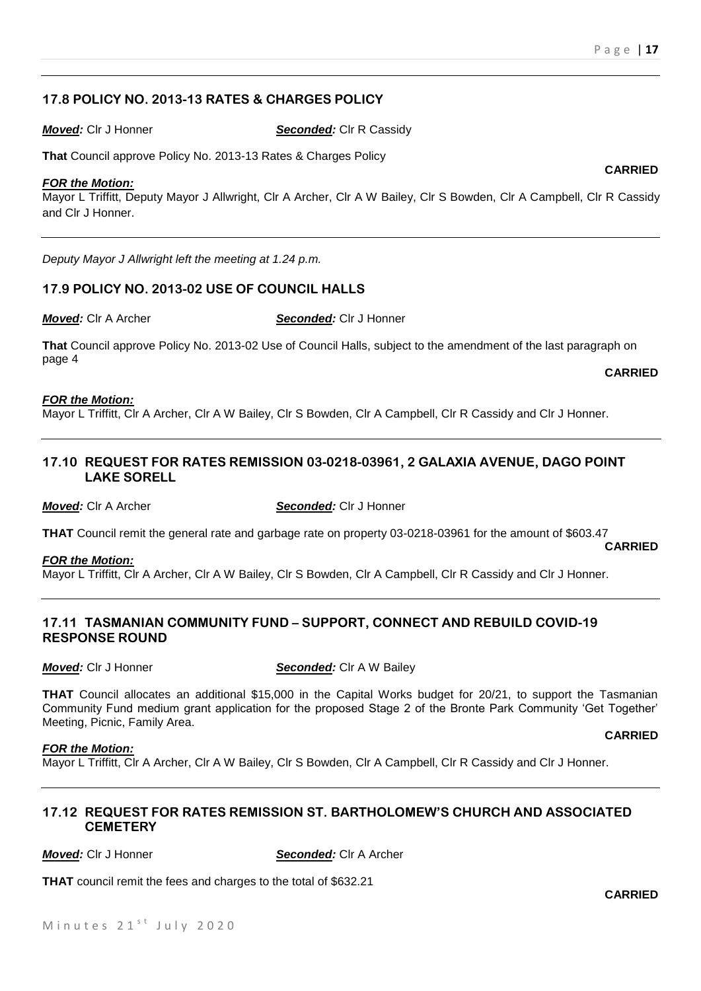# **17.8 POLICY NO. 2013-13 RATES & CHARGES POLICY**

*Moved:* Clr J Honner *Seconded:* Clr R Cassidy

**That** Council approve Policy No. 2013-13 Rates & Charges Policy

#### *FOR the Motion:*

Mayor L Triffitt, Deputy Mayor J Allwright, Clr A Archer, Clr A W Bailey, Clr S Bowden, Clr A Campbell, Clr R Cassidy and Clr J Honner.

*Deputy Mayor J Allwright left the meeting at 1.24 p.m.* 

## **17.9 POLICY NO. 2013-02 USE OF COUNCIL HALLS**

*Moved:* Clr A Archer *Seconded:* Clr J Honner

**That** Council approve Policy No. 2013-02 Use of Council Halls, subject to the amendment of the last paragraph on page 4 **CARRIED**

#### *FOR the Motion:*

Mayor L Triffitt, Clr A Archer, Clr A W Bailey, Clr S Bowden, Clr A Campbell, Clr R Cassidy and Clr J Honner.

## **17.10 REQUEST FOR RATES REMISSION 03-0218-03961, 2 GALAXIA AVENUE, DAGO POINT LAKE SORELL**

*Moved:* Clr A Archer *Seconded:* Clr J Honner

**THAT** Council remit the general rate and garbage rate on property 03-0218-03961 for the amount of \$603.47 **CARRIED**

#### *FOR the Motion:*

Mayor L Triffitt, Clr A Archer, Clr A W Bailey, Clr S Bowden, Clr A Campbell, Clr R Cassidy and Clr J Honner.

#### **17.11 TASMANIAN COMMUNITY FUND – SUPPORT, CONNECT AND REBUILD COVID-19 RESPONSE ROUND**

*Moved:* Clr J Honner **Seconded:** Clr A W Bailey

**THAT** Council allocates an additional \$15,000 in the Capital Works budget for 20/21, to support the Tasmanian Community Fund medium grant application for the proposed Stage 2 of the Bronte Park Community 'Get Together' Meeting, Picnic, Family Area.

#### *FOR the Motion:*

Mayor L Triffitt, Clr A Archer, Clr A W Bailey, Clr S Bowden, Clr A Campbell, Clr R Cassidy and Clr J Honner.

# **17.12 REQUEST FOR RATES REMISSION ST. BARTHOLOMEW'S CHURCH AND ASSOCIATED CEMETERY**

*Moved:* Clr J Honner *Seconded:* Clr A Archer

**THAT** council remit the fees and charges to the total of \$632.21

**CARRIED**

**CARRIED**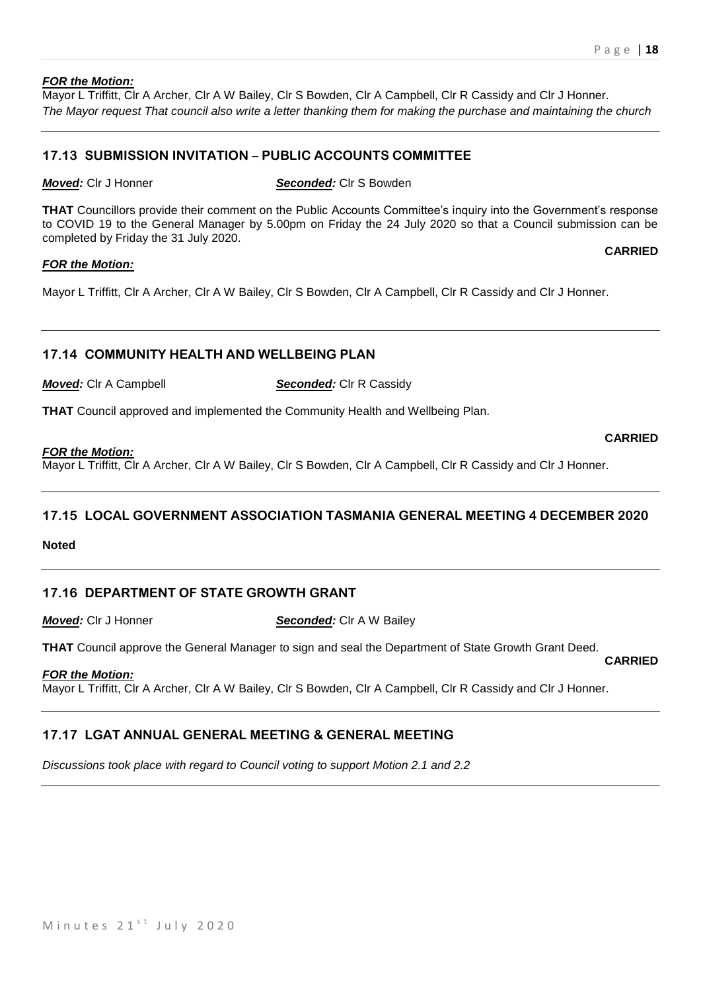#### *FOR the Motion:*

Mayor L Triffitt, Clr A Archer, Clr A W Bailey, Clr S Bowden, Clr A Campbell, Clr R Cassidy and Clr J Honner. *The Mayor request That council also write a letter thanking them for making the purchase and maintaining the church*

# **17.13 SUBMISSION INVITATION – PUBLIC ACCOUNTS COMMITTEE**

*Moved:* Clr J Honner *Seconded:* Clr S Bowden

**THAT** Councillors provide their comment on the Public Accounts Committee's inquiry into the Government's response to COVID 19 to the General Manager by 5.00pm on Friday the 24 July 2020 so that a Council submission can be completed by Friday the 31 July 2020. **CARRIED**

#### *FOR the Motion:*

Mayor L Triffitt, Clr A Archer, Clr A W Bailey, Clr S Bowden, Clr A Campbell, Clr R Cassidy and Clr J Honner.

# **17.14 COMMUNITY HEALTH AND WELLBEING PLAN**

*Moved:* Clr A Campbell *Seconded:* **Clr R Cassidy** 

**THAT** Council approved and implemented the Community Health and Wellbeing Plan.

#### *FOR the Motion:*

Mayor L Triffitt, Clr A Archer, Clr A W Bailey, Clr S Bowden, Clr A Campbell, Clr R Cassidy and Clr J Honner.

# **17.15 LOCAL GOVERNMENT ASSOCIATION TASMANIA GENERAL MEETING 4 DECEMBER 2020**

**Noted**

# **17.16 DEPARTMENT OF STATE GROWTH GRANT**

*Moved:* Clr J Honner *Seconded:* Clr A W Bailey

**THAT** Council approve the General Manager to sign and seal the Department of State Growth Grant Deed. **CARRIED**

#### *FOR the Motion:*

Mayor L Triffitt, Clr A Archer, Clr A W Bailey, Clr S Bowden, Clr A Campbell, Clr R Cassidy and Clr J Honner.

# **17.17 LGAT ANNUAL GENERAL MEETING & GENERAL MEETING**

*Discussions took place with regard to Council voting to support Motion 2.1 and 2.2*

Minutes  $21<sup>st</sup>$  July 2020